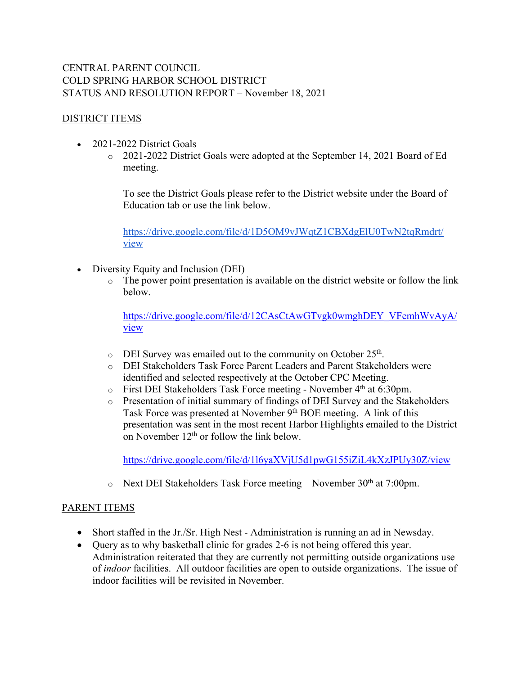## CENTRAL PARENT COUNCIL COLD SPRING HARBOR SCHOOL DISTRICT STATUS AND RESOLUTION REPORT – November 18, 2021

## DISTRICT ITEMS

- 2021-2022 District Goals
	- o 2021-2022 District Goals were adopted at the September 14, 2021 Board of Ed meeting.

To see the District Goals please refer to the District website under the Board of Education tab or use the link below.

https://drive.google.com/file/d/1D5OM9vJWqtZ1CBXdgElU0TwN2tqRmdrt/ view

- Diversity Equity and Inclusion (DEI)
	- o The power point presentation is available on the district website or follow the link below.

https://drive.google.com/file/d/12CAsCtAwGTvgk0wmghDEY\_VFemhWvAyA/ view

- $\circ$  DEI Survey was emailed out to the community on October 25<sup>th</sup>.
- o DEI Stakeholders Task Force Parent Leaders and Parent Stakeholders were identified and selected respectively at the October CPC Meeting.
- o First DEI Stakeholders Task Force meeting November 4th at 6:30pm.
- o Presentation of initial summary of findings of DEI Survey and the Stakeholders Task Force was presented at November 9<sup>th</sup> BOE meeting. A link of this presentation was sent in the most recent Harbor Highlights emailed to the District on November 12<sup>th</sup> or follow the link below.

https://drive.google.com/file/d/1l6yaXVjU5d1pwG155iZiL4kXzJPUy30Z/view

o Next DEI Stakeholders Task Force meeting – November 30<sup>th</sup> at 7:00pm.

## PARENT ITEMS

- Short staffed in the Jr./Sr. High Nest Administration is running an ad in Newsday.
- Query as to why basketball clinic for grades 2-6 is not being offered this year. Administration reiterated that they are currently not permitting outside organizations use of *indoor* facilities. All outdoor facilities are open to outside organizations. The issue of indoor facilities will be revisited in November.